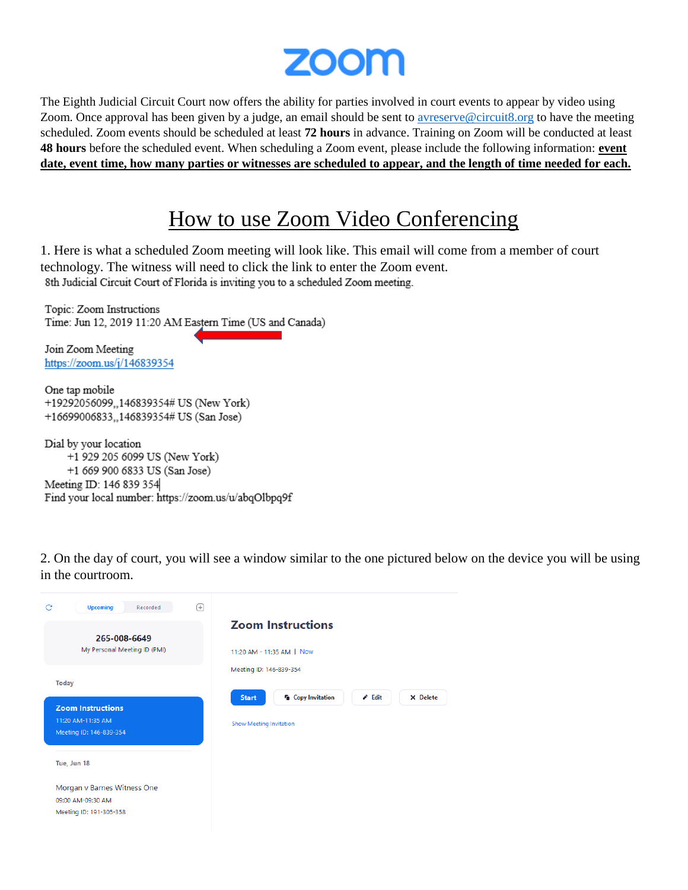## **ZOOM**

The Eighth Judicial Circuit Court now offers the ability for parties involved in court events to appear by video using Zoom. Once approval has been given by a judge, an email should be sent t[o avreserve@circuit8.org](mailto:avreserve@circuit8.org) to have the meeting scheduled. Zoom events should be scheduled at least **72 hours** in advance. Training on Zoom will be conducted at least **48 hours** before the scheduled event. When scheduling a Zoom event, please include the following information: **event date, event time, how many parties or witnesses are scheduled to appear, and the length of time needed for each.** 

## How to use Zoom Video Conferencing

1. Here is what a scheduled Zoom meeting will look like. This email will come from a member of court technology. The witness will need to click the link to enter the Zoom event. 8th Judicial Circuit Court of Florida is inviting you to a scheduled Zoom meeting.

Topic: Zoom Instructions Time: Jun 12, 2019 11:20 AM Eastern Time (US and Canada)

Join Zoom Meeting https://zoom.us/j/146839354

One tap mobile +19292056099,,146839354# US (New York) +16699006833,,146839354# US (San Jose)

Dial by your location +1 929 205 6099 US (New York)  $+1$  669 900 6833 US (San Jose) Meeting ID: 146 839 354 Find your local number: https://zoom.us/u/abqOlbpq9f

2. On the day of court, you will see a window similar to the one pictured below on the device you will be using in the courtroom.

| e<br><b>Upcoming</b><br>Recorded                                         | (F)                                                                              |
|--------------------------------------------------------------------------|----------------------------------------------------------------------------------|
| 265-008-6649<br>My Personal Meeting ID (PMI)                             | <b>Zoom Instructions</b><br>11:20 AM - 11:35 AM   Now                            |
|                                                                          | Meeting ID: 146-839-354                                                          |
| <b>Today</b>                                                             | <b>Copy Invitation</b><br>$\blacktriangleright$ Edit<br>X Delete<br><b>Start</b> |
| <b>Zoom Instructions</b><br>11:20 AM-11:35 AM<br>Meeting ID: 146-839-354 | Show Meeting Invitation                                                          |
| Tue, Jun 18                                                              |                                                                                  |
| Morgan v Barnes Witness One                                              |                                                                                  |
| 09:00 AM-09:30 AM                                                        |                                                                                  |
| Meeting ID: 191-305-358                                                  |                                                                                  |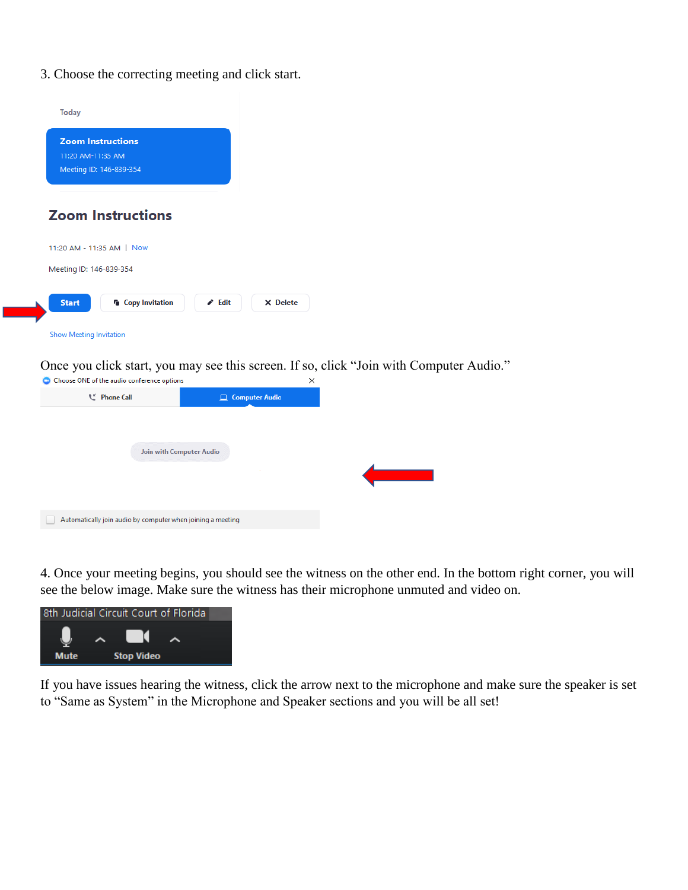3. Choose the correcting meeting and click start.



Once you click start, you may see this screen. If so, click "Join with Computer Audio."

| Choose ONE of the audio conference options<br>o             |                          | × |
|-------------------------------------------------------------|--------------------------|---|
| L' Phone Call                                               | Computer Audio           |   |
|                                                             | Join with Computer Audio |   |
| Automatically join audio by computer when joining a meeting |                          |   |

4. Once your meeting begins, you should see the witness on the other end. In the bottom right corner, you will see the below image. Make sure the witness has their microphone unmuted and video on.



If you have issues hearing the witness, click the arrow next to the microphone and make sure the speaker is set to "Same as System" in the Microphone and Speaker sections and you will be all set!